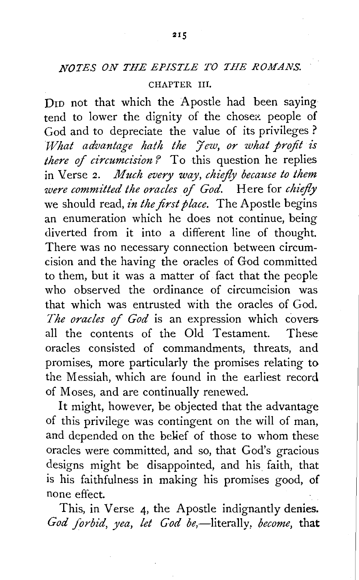## *NOTES ON THE EPISTLE TO THE ROMANS.*

## CHAPTER III.

D<sub>ID</sub> not that which the Apostle had been saying tend to lower the dignity of the chosen people of God and to depreciate the value of its privileges ? *What advantage hath the Jew, or what profit is there of circumcision* ? To this question he replies in Verse 2. *Much every way, chiefly because to them were committed the oracles of God.* Here for *chiefly*  we should read, *in the first place*. The Apostle begins an enumeration which he does not continue, being diverted from it into a different line of thought. There was no necessary connection between circumcision and the having the oracles of God committed to them, but it was a matter of fact that the people who observed the ordinance of circumcision was that which was entrusted with the oracles of God. *The oracles* of *God* is an expression which covers all the contents of the Old Testament. These oracles consisted of commandments, threats, and promises, more particularly the promises relating to the Messiah, which are found in the earliest record of Moses, and are continually renewed.

It might, however, be objected that the advantage of this privilege was contingent on the will of man, and depended on the belief of those to whom these oracles were committed, and so, that God's gracious designs might be disappointed, and his faith, that is his faithfulness in making his promises good, of none effect.

This, in Verse 4, the Apostle indignantly denies. God forbid, yea, let God be,—literally, *become*, that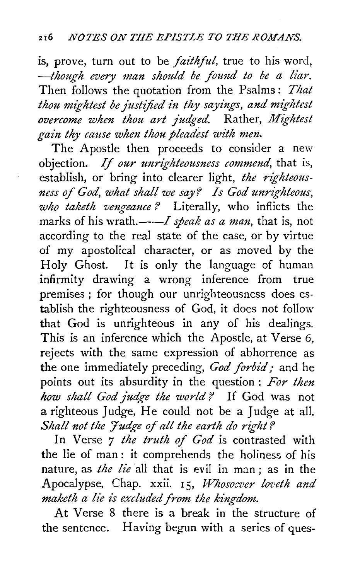is, prove, turn out to be *faithful,* true to his word, -though every man should be found to be a liar. Then follows the quotation from the Psalms : *That thou mightest be justified in thy sayings, and mightest overcome when thou art judged.* Rather, *Mightest gain thy cause when thou pleadest with men.* 

The Apostle then proceeds to consider a new objection. If *our unrighteousness commend,* that is, establish, or bring into clearer light, *the righteousness of God, what shall we say? Is God unrighteous, who taketh vengeance?* Literally, who inflicts the marks of his wrath.——*I speak as a man*, that is, not according to the real state of the case, or by virtue of my apostolical character, or as moved by the Holy Ghost. It is only the language of human infirmity drawing a wrong inference from true premises ; for though our unrighteousness does establish the righteousness of God, it does not follow that God is unrighteous in any of his dealings. This is an inference which the Apostle, at Verse 6, rejects with the same expression of abhorrence as the one immediately preceding, *God forbid;* and he points out its absurdity in the question : *For then how shall God judge the world'?* If God was not a righteous Judge, He could not be a Judge at all. Shall not the Judge of all the earth do right?

In Verse *7 the truth of God* is contrasted with the lie of man : it comprehends the holiness of his nature, as *the lie* all that is evil in man; as in the Apocalypse, Chap. xxii. I 5, *Whosoever loveth and maketh a lie is excluded from the kingdom.* 

At Verse 8 there is a break in the structure of the sentence. Having begun with a series of ques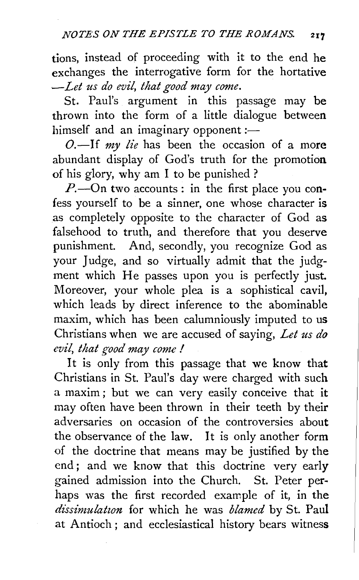tions, instead of proceeding with it to the end he exchanges the interrogative form for the hortative *--Let us do evil, that good may come.* 

St. Paul's argument in this passage may be thrown into the form of a little dialogue between himself and an imaginary opponent :-

0.-If *my lie* has been the occasion of a more abundant display of God's truth for the promotion of his glory, why am I to be punished ?

*P*.--On two accounts: in the first place you confess yourself to be a sinner, one whose character is as completely opposite to the character of God as falsehood to truth, and therefore that you deserve punishment. And, secondly, you recognize God as your Judge, and so virtually admit that the judgment which He passes upon you is perfectly just. Moreover, your whole plea is a sophistical cavil, which leads by direct inference to the abominable maxim, which has been calumniously imputed to us Christians when we are accused of saying, *Let us do evil, that good may come I* 

It is only from this passage that we know that Christians in St. Paul's day were charged with such a maxim ; but we can very easily conceive that it may often have been thrown in their teeth by their adversaries on occasion of the controversies about the observance of the law. It is only another form of the doctrine that means may be justified by the end ; and we know that this doctrine very early gained admission into the Church. St. Peter perhaps was the first recorded example of it, in the dissimulation for which he was *blamed* by St. Paul at Antioch ; and ecclesiastical history bears witness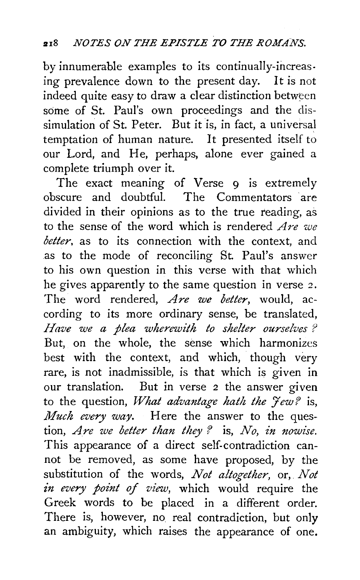by innumerable examples to its continually-increasing prevalence down to the present day. It is not indeed quite easy to draw a clear distinction between some of St. Paul's own proceedings and the dissimulation of St. Peter. But it is, in fact, a universal temptation of human nature. It presented itself to our Lord, and He, perhaps, alone ever gained a complete triumph over it.

The exact meaning of Verse 9 is extremely obscure and doubtful. The Commentators ·are divided in their opinions as to the true reading, as to the sense of the word which is rendered *Are we better*, as to its connection with the context, and as to the mode of reconciling St. Paul's answer to his own question in this verse with that which he gives apparently to the same question in verse 2. The word rendered, *Are we better*, would, according to its more ordinary sense, be translated, *Have we a plea wherewith to shelter ourselves?*  But, on the whole, the sense which harmonizes best with the context, and which, though very rare, is not inadmissible, is that which is given in our translation. But in verse 2 the answer given to the question, *What advantage hath the Jew?* is, *Much every way.* Here the answer to the question, *Are we better than they ?* is, *No, in nowise.*  This appearance of a direct self-contradiction cannot be removed, as some have proposed, by the substitution of the words, *Not altogether,* or,. *Not*  in every point of view, which would require the Greek words to be placed in a different order. There is, however, no real contradiction, but only an ambiguity, which raises the appearance of one.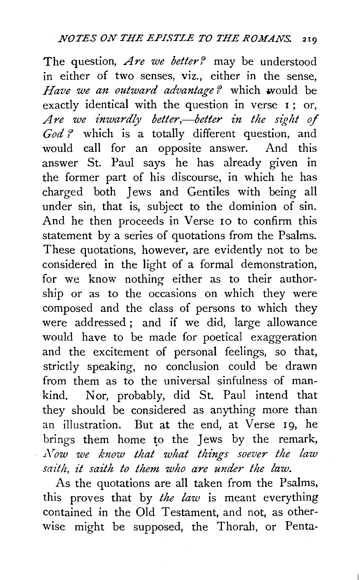The question, *Are we better?* may be understood in either of two senses, viz., either in the sense, *Have we an outward advantage?* which would be exactly identical with the question in verse 1; or, Are we inwardly better,—better in the sight of *God* ? which is a totally different question, and would call for an opposite answer. And this answer St. Paul says he has already given in the former part of his discourse, in which he has charged both Jews and Gentiles with being all under sin, that is, subject to the dominion of sin. And he then proceeds in Verse 10 to confirm this statement by a series of quotations from the Psalms. These quotations, however, are evidently not to be considered in the light of a formal demonstration, for we know nothing either as to their authorship or as to the occasions on which they were composed and the class of persons to which they were addressed ; and if we did, large allowance would have to be made for poetical exaggeration and the excitement of personal feelings, so that, strictly speaking, no conclusion could be drawn from them as to the universal sinfulness of mankind. Nor, probably, did St. Paul intend that they should be considered as anything more than an illustration. But at the end, at Verse 19, he brings them home to the Jews by the remark, *.L\row we know that what things soever the law saith, it saith to them who are under the law.* 

As the quotations are all taken from the Psalms, this proves that by *the law* is meant everything contained in the Old Testament, and not, as otherwise might be supposed, the Thorah, or Penta-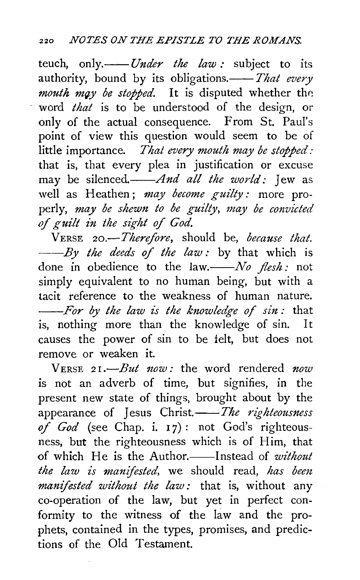teuch, only.--*---- Under the law* : subject to its authority, bound by its obligations.---- That every *mouth may be stopped*. It is disputed whether the word *that* is to be understood of the design, or only of the actual consequence. From St. Paul's point of view this question would seem to be of little importance. *That every mouth may be stopped:*  that is, that every plea in justification or excuse may be *silenced.--And all the world:* Jew as well as Heathen; *may become guilty:* more properly, *may be shewn to be guilty, may be convicted*  of guilt in the sight of God.

VERSE *20.-Therefore,* should be, *because that. --By the deeds of the law :* by that which is done in obedience to the law.--No flesh: not simply equivalent to no human being, but with a tacit reference to the weakness of human nature. *--For by the taw is the knowledge of sin:* that is, nothing more than the knowledge of sin. It causes the power of sin to be felt, but does not remove or weaken it.

VERSE 21.-*But now:* the word rendered *now* is not an adverb of time, but signifies, in the present new state of things, brought about by the appearance of Jesus Christ.--The righteousness of God (see Chap. i. 17): not God's righteousness, but the righteousness which is of Him, that of which He is the Author.----Instead of *without the law is manifested,* we should read, *has bem manifested without the law:* that is, without any co-operation of the law, but yet in perfect conformity to the witness of the law and the prophets, contained in the types, promises, and predictions of the Old Testament.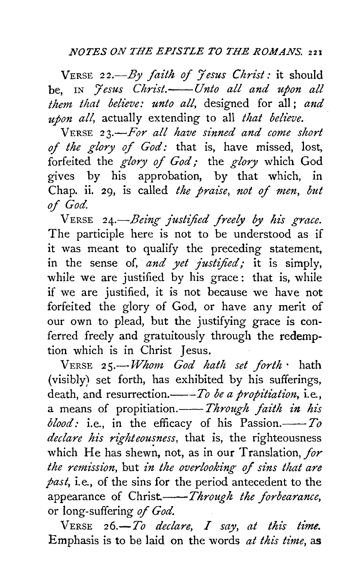VERSE *22.-By faith of Jesus Christ;* it should be. IN *Jesus Christ.*——*Unto all and upon all them that believe: unto all,* designed for all ; *and upon all,* actually extending to all *that believe.* .

VERSE *23.-For all have sinned and come short of the glory of God:* that is, have missed, lost, forfeited the *glory of God;* the *glory* which God gives by his approbation, by that which, in Chap. ii. 29, is called *the praise, not of men, but*  of *God.* 

VERSE 24.<sup>-</sup>*Being justified freely by his grace.* The participle here is not to be understood as if it was meant to qualify the preceding statement, in the sense of, *and yet justified*; it is simply, while we are justified by his grace: that is, while if we are justified, it is not because we have not forfeited the glory of God, or have any merit of our own to plead, but the justifying grace is conferred freely and gratuitously through the redemption which is in Christ Jesus.

VERSE 25.-*-Whom God hath set forth* hath (visibly) set forth, has exhibited by his sufferings, death, and resurrection.---*To be a propitiation*, *i.e.*, a means of propitiation.-*--- Through faith in his i.e., in the efficacy of his Passion.* $\frac{1}{10}$ *declare his righteousness,* that is, the righteousness which He has shewn, not, as in our Translation, for *the remission, but in the overlooking of sins that are past,* i.e., of the sins for the period antecedent to the appearance of *Christ.*——*Through the forbearance*, or long-suffering *of God.* 

 $V$ ERSE  $26.-To$  declare,  $I$  say, at this time. Emphasis is to be laid on the words *at this time,* as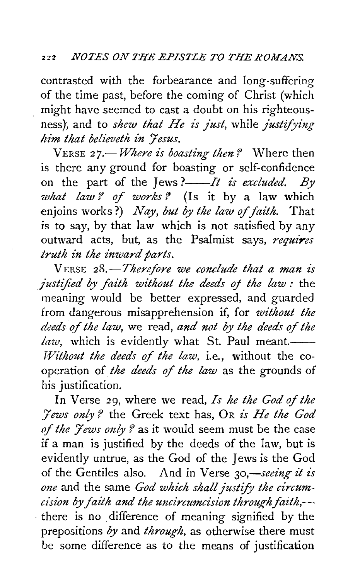contrasted with the forbearance and long-suffering of the time past, before the coming of Christ (which might have seemed to cast a doubt on his righteousness}, and to *shew that He is Just,* while *Justifying him that believeth in Fesus.* 

VERSE 27.-*Where is boasting then?* Where then is there any ground for boasting or self-confidence on the part of the Jews ?------*It is excluded. By what law? of works?* (Is it by a law which enjoins works?) *Nay, but by the law* of *faith.* That is to say, by that law which is not satisfied by any outward acts, but, as the Psalmist says, *requires truth in the inward parts.* 

VERSE 28.-Therefore we conclude that a man is *justified by faith without the deeds oj the law :* the meaning would be better expressed, and guarded from dangerous misapprehension if, for *without the deeds* of *the law,* we read, *and not by the deeds* of *the law*, which is evidently what St. Paul meant. *Without the deeds of the law, i.e., without the co*operation of *the deeds* of *the law* as the grounds of his justification.

In Verse 29, where we read, *Is he the God of the :Jews only* f the Greek text has, OR *zs He the God*  of the *Jews only?* as it would seem must be the case if a man is justified by the deeds of the law, but is evidently untrue, as the God of the *1* ews is the God of the Gentiles also. And in Verse 30,—seeing it is *one* and the same *God which shall Justify the circumdsz"on by faith and the uncircumcision through faith,-* . there is no difference of meaning signified by the prepositions *by* and *through,* as otherwise there must be some difference as to the means of justification